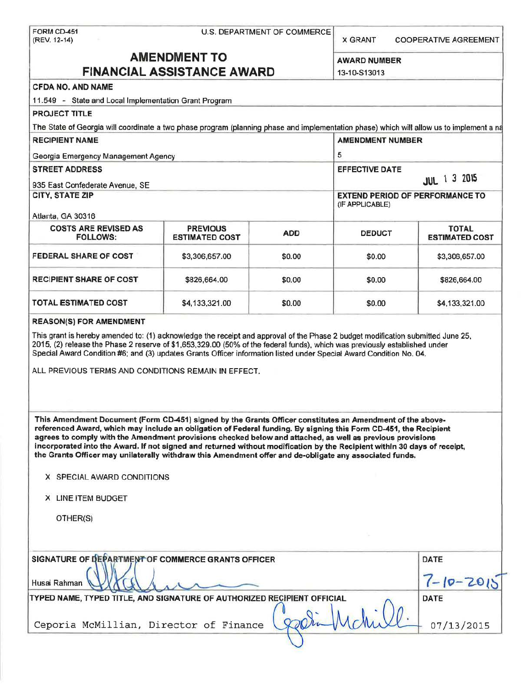|                                                       |                                                                                                                                                                                                                                                                                                                                                                                                                                                                                                                                                                                   | U.S. DEPARTMENT OF COMMERCE<br><b>COOPERATIVE AGREEMENT</b><br><b>X GRANT</b> |                         |                                        |  |  |  |  |
|-------------------------------------------------------|-----------------------------------------------------------------------------------------------------------------------------------------------------------------------------------------------------------------------------------------------------------------------------------------------------------------------------------------------------------------------------------------------------------------------------------------------------------------------------------------------------------------------------------------------------------------------------------|-------------------------------------------------------------------------------|-------------------------|----------------------------------------|--|--|--|--|
| <b>AMENDMENT TO</b>                                   |                                                                                                                                                                                                                                                                                                                                                                                                                                                                                                                                                                                   |                                                                               |                         |                                        |  |  |  |  |
| <b>FINANCIAL ASSISTANCE AWARD</b>                     | <b>AWARD NUMBER</b><br>13-10-S13013                                                                                                                                                                                                                                                                                                                                                                                                                                                                                                                                               |                                                                               |                         |                                        |  |  |  |  |
| <b>CFDA NO. AND NAME</b>                              |                                                                                                                                                                                                                                                                                                                                                                                                                                                                                                                                                                                   |                                                                               |                         |                                        |  |  |  |  |
| 11.549 - State and Local Implementation Grant Program |                                                                                                                                                                                                                                                                                                                                                                                                                                                                                                                                                                                   |                                                                               |                         |                                        |  |  |  |  |
| <b>PROJECT TITLE</b>                                  |                                                                                                                                                                                                                                                                                                                                                                                                                                                                                                                                                                                   |                                                                               |                         |                                        |  |  |  |  |
|                                                       | The State of Georgia will coordinate a two phase program (planning phase and implementation phase) which will allow us to implement a na                                                                                                                                                                                                                                                                                                                                                                                                                                          |                                                                               |                         |                                        |  |  |  |  |
| <b>RECIPIENT NAME</b>                                 |                                                                                                                                                                                                                                                                                                                                                                                                                                                                                                                                                                                   |                                                                               | <b>AMENDMENT NUMBER</b> |                                        |  |  |  |  |
| Georgia Emergency Management Agency                   |                                                                                                                                                                                                                                                                                                                                                                                                                                                                                                                                                                                   |                                                                               | 5                       |                                        |  |  |  |  |
| <b>STREET ADDRESS</b>                                 |                                                                                                                                                                                                                                                                                                                                                                                                                                                                                                                                                                                   |                                                                               | <b>EFFECTIVE DATE</b>   |                                        |  |  |  |  |
| 935 East Confederate Avenue, SE                       |                                                                                                                                                                                                                                                                                                                                                                                                                                                                                                                                                                                   |                                                                               |                         | <b>JUL</b> 1 3 2015                    |  |  |  |  |
| <b>CITY, STATE ZIP</b>                                |                                                                                                                                                                                                                                                                                                                                                                                                                                                                                                                                                                                   |                                                                               |                         | <b>EXTEND PERIOD OF PERFORMANCE TO</b> |  |  |  |  |
|                                                       |                                                                                                                                                                                                                                                                                                                                                                                                                                                                                                                                                                                   |                                                                               | (IF APPLICABLE)         |                                        |  |  |  |  |
| Atlanta, GA 30316                                     |                                                                                                                                                                                                                                                                                                                                                                                                                                                                                                                                                                                   |                                                                               |                         |                                        |  |  |  |  |
| <b>COSTS ARE REVISED AS</b><br><b>FOLLOWS:</b>        | <b>PREVIOUS</b><br><b>ESTIMATED COST</b>                                                                                                                                                                                                                                                                                                                                                                                                                                                                                                                                          | <b>ADD</b>                                                                    | <b>DEDUCT</b>           | <b>TOTAL</b><br><b>ESTIMATED COST</b>  |  |  |  |  |
| <b>FEDERAL SHARE OF COST</b>                          | \$3,306,657.00                                                                                                                                                                                                                                                                                                                                                                                                                                                                                                                                                                    | \$0.00                                                                        | \$0.00                  | \$3,306,657.00                         |  |  |  |  |
| <b>RECIPIENT SHARE OF COST</b>                        | \$826,664.00                                                                                                                                                                                                                                                                                                                                                                                                                                                                                                                                                                      | \$0.00                                                                        | \$0.00                  | \$826,664.00                           |  |  |  |  |
| <b>TOTAL ESTIMATED COST</b>                           | \$4,133,321.00                                                                                                                                                                                                                                                                                                                                                                                                                                                                                                                                                                    | \$0.00                                                                        | \$4,133,321.00          |                                        |  |  |  |  |
|                                                       | This grant is hereby amended to: (1) acknowledge the receipt and approval of the Phase 2 budget modification submitted June 25,<br>2015, (2) release the Phase 2 reserve of \$1,653,329.00 (50% of the federal funds), which was previously established under<br>Special Award Condition #6; and (3) updates Grants Officer information listed under Special Award Condition No. 04.                                                                                                                                                                                              |                                                                               |                         |                                        |  |  |  |  |
| <b>REASON(S) FOR AMENDMENT</b>                        | ALL PREVIOUS TERMS AND CONDITIONS REMAIN IN EFFECT.                                                                                                                                                                                                                                                                                                                                                                                                                                                                                                                               |                                                                               |                         |                                        |  |  |  |  |
| X SPECIAL AWARD CONDITIONS                            | This Amendment Document (Form CD-451) signed by the Grants Officer constitutes an Amendment of the above-<br>referenced Award, which may include an obligation of Federal funding. By signing this Form CD-451, the Recipient<br>agrees to comply with the Amendment provisions checked below and attached, as well as previous provisions<br>incorporated into the Award. If not signed and returned without modification by the Recipient within 30 days of receipt,<br>the Grants Officer may unilaterally withdraw this Amendment offer and de-obligate any associated funds. |                                                                               |                         |                                        |  |  |  |  |
| X LINE ITEM BUDGET                                    |                                                                                                                                                                                                                                                                                                                                                                                                                                                                                                                                                                                   |                                                                               |                         |                                        |  |  |  |  |
| OTHER(S)                                              |                                                                                                                                                                                                                                                                                                                                                                                                                                                                                                                                                                                   |                                                                               |                         |                                        |  |  |  |  |
|                                                       | SIGNATURE OF DEPARTMENT OF COMMERCE GRANTS OFFICER                                                                                                                                                                                                                                                                                                                                                                                                                                                                                                                                |                                                                               |                         | DATE                                   |  |  |  |  |
|                                                       |                                                                                                                                                                                                                                                                                                                                                                                                                                                                                                                                                                                   |                                                                               |                         | $7 - 10 - 2015$                        |  |  |  |  |
| Husai Rahman                                          | TYPED NAME, TYPED TITLE, AND SIGNATURE OF AUTHORIZED RECIPIENT OFFICIAL                                                                                                                                                                                                                                                                                                                                                                                                                                                                                                           |                                                                               |                         | <b>DATE</b>                            |  |  |  |  |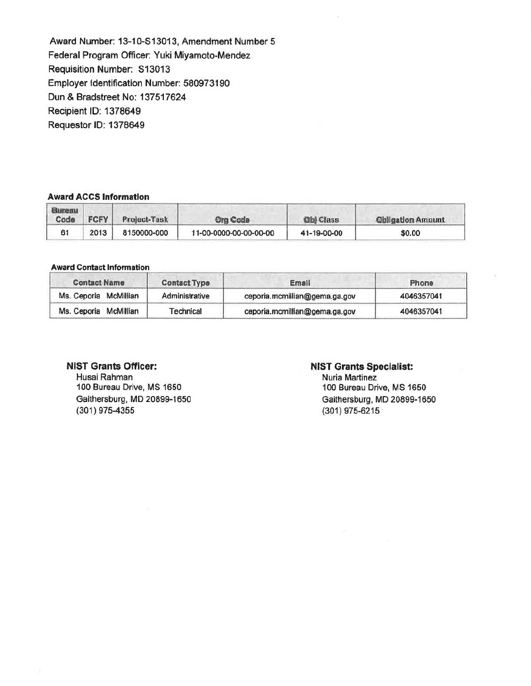Award Number: 13-10-513013, Amendment Number 5 Federal Program Officer: Yuki Miyamoto-Mendez Requisition Number. 513013 Employer Identification Number: 580973190 Dun & Bradstreet No: 137517624 Recipient 10: 1378649 Requestor 10: 1378649

# Award ACCS Information

| Bureau<br>Code | <b>FCFY</b> | Project-Task | <b>Org Code</b>        | <b>Qbl</b> Class | <b>Qbligation Amount</b> |
|----------------|-------------|--------------|------------------------|------------------|--------------------------|
| 61             | 2013        | 8150000-000  | 11-00-0000-00-00-00-00 | 41-19-00-00      | \$0.00                   |

### Award Contact Information

| <b>Contact Name</b>   | <b>Contact Type</b> | Email                         | Phone      |  |  |
|-----------------------|---------------------|-------------------------------|------------|--|--|
| Ms. Ceporia McMillian | Administrative      | ceporia.mcmillian@gema.ga.gov | 4046357041 |  |  |
| Ms. Ceporia McMillian | Technical           | ceporia.mcmillian@gema.ga.gov | 4046357041 |  |  |

## NIST Grants Officer:

Husai Rahman 100 Bureau Drive, MS 1650 Gaithersburg, MD 20899-1650 (301) 975-4355

## NIST Grants Specialist:

Nuria Martinez 100 Bureau Drive, MS 1650 Gaithersburg, MD 20899-1650 (301) 975-6215 .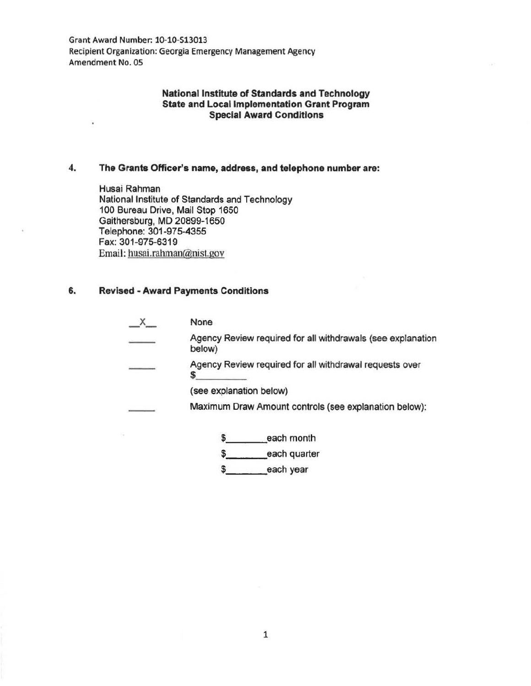Grant Award Number: 10-10-513013 Recipient Organization: Georgia Emergency Management Agency Amendment No. OS

## National Institute of Standards and Technology State and Local Implementation Grant Program Special Award Conditions

## 4. The Grants Officer's name, address, and telephone number are:

Husai Rahman National Institute of Standards and Technology 100 Bureau Drive, Mail Stop 1650 Gaithersburg, MD 20899-1650 Telephone: 301-975-4355 Fax: 301-975-6319 Email: husai.rahman@nist.gov

### 6. Revised • Award Payments Conditions

 $\blacksquare$ 

| None                                                                  |
|-----------------------------------------------------------------------|
| Agency Review required for all withdrawals (see explanation<br>below) |
| Agency Review required for all withdrawal requests over               |
| (see explanation below)                                               |
| Maximum Draw Amount controls (see explanation below):                 |
| each month                                                            |

 $\frac{1}{2}$  each month

\$\_\_\_\_\_\_\_\_\_each quarter

\$\_\_\_\_\_\_\_\_\_\_each year

1